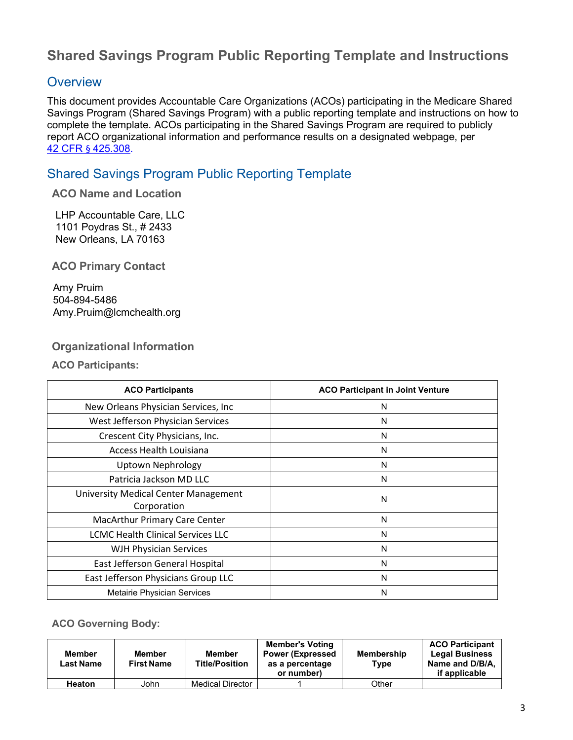# **Shared Savings Program Public Reporting Template and Instructions**

### **Overview**

This document provides Accountable Care Organizations (ACOs) participating in the Medicare Shared Savings Program (Shared Savings Program) with a public reporting template and instructions on how to complete the template. ACOs participating in the Shared Savings Program are required to publicly report ACO organizational information and performance results on a designated webpage, per 42 CFR § [425.308.](https://www.ecfr.gov/cgi-bin/text-idx?SID=bc368f5359de910393be755149be5b35&mc=true&node=se42.3.425_1308&rgn=div8)

## Shared Savings Program Public Reporting Template

#### **ACO Name and Location**

LHP Accountable Care, LLC 1101 Poydras St., # 2433 New Orleans, LA 70163

**ACO Primary Contact**

 Amy Pruim 504-894-5486 Amy.Pruim@lcmchealth.org

#### **Organizational Information**

**ACO Participants:**

| <b>ACO Participants</b>                                    | <b>ACO Participant in Joint Venture</b> |
|------------------------------------------------------------|-----------------------------------------|
| New Orleans Physician Services, Inc.                       | N                                       |
| West Jefferson Physician Services                          | N                                       |
| Crescent City Physicians, Inc.                             | N                                       |
| Access Health Louisiana                                    | N                                       |
| <b>Uptown Nephrology</b>                                   | N                                       |
| Patricia Jackson MD LLC                                    | N                                       |
| <b>University Medical Center Management</b><br>Corporation | N                                       |
| MacArthur Primary Care Center                              | N                                       |
| <b>LCMC Health Clinical Services LLC</b>                   | N                                       |
| <b>WJH Physician Services</b>                              | N                                       |
| East Jefferson General Hospital                            | N                                       |
| East Jefferson Physicians Group LLC                        | N                                       |
| <b>Metairie Physician Services</b>                         | N                                       |

#### **ACO Governing Body:**

| <b>Member</b><br>Last Name | <b>Member</b><br><b>First Name</b> | Member<br><b>Title/Position</b> | <b>Member's Voting</b><br><b>Power (Expressed)</b><br>as a percentage<br>or number) | Membership<br>Type | <b>ACO Participant</b><br><b>Legal Business</b><br>Name and D/B/A.<br>if applicable |
|----------------------------|------------------------------------|---------------------------------|-------------------------------------------------------------------------------------|--------------------|-------------------------------------------------------------------------------------|
| Heaton                     | John                               | <b>Medical Director</b>         |                                                                                     | Other              |                                                                                     |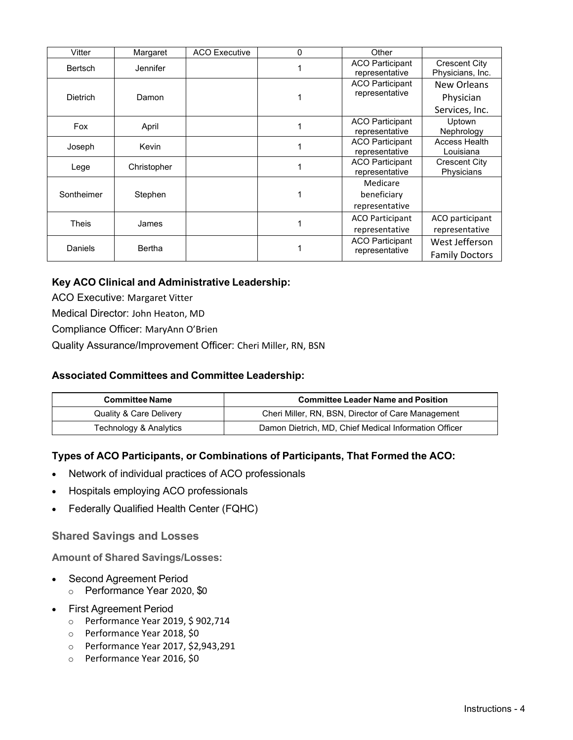| Vitter          | Margaret      | <b>ACO Executive</b> | 0 | Other                                     |                                            |
|-----------------|---------------|----------------------|---|-------------------------------------------|--------------------------------------------|
| <b>Bertsch</b>  | Jennifer      |                      |   | <b>ACO Participant</b><br>representative  | <b>Crescent City</b><br>Physicians, Inc.   |
| <b>Dietrich</b> | Damon         |                      |   | <b>ACO Participant</b><br>representative  | New Orleans<br>Physician<br>Services, Inc. |
| Fox             | April         |                      |   | <b>ACO Participant</b><br>representative  | Uptown<br>Nephrology                       |
| Joseph          | Kevin         |                      |   | <b>ACO Participant</b><br>representative  | Access Health<br>Louisiana                 |
| Lege            | Christopher   |                      |   | <b>ACO Participant</b><br>representative  | <b>Crescent City</b><br>Physicians         |
| Sontheimer      | Stephen       |                      |   | Medicare<br>beneficiary<br>representative |                                            |
| Theis           | James         |                      |   | <b>ACO Participant</b><br>representative  | ACO participant<br>representative          |
| Daniels         | <b>Bertha</b> |                      |   | <b>ACO Participant</b><br>representative  | West Jefferson<br><b>Family Doctors</b>    |

#### **Key ACO Clinical and Administrative Leadership:**

ACO Executive: Margaret Vitter

Medical Director: John Heaton, MD

Compliance Officer: MaryAnn O'Brien

Quality Assurance/Improvement Officer: Cheri Miller, RN, BSN

#### **Associated Committees and Committee Leadership:**

| <b>Committee Name</b>   | <b>Committee Leader Name and Position</b>             |
|-------------------------|-------------------------------------------------------|
| Quality & Care Delivery | Cheri Miller, RN, BSN, Director of Care Management    |
| Technology & Analytics  | Damon Dietrich, MD, Chief Medical Information Officer |

#### **Types of ACO Participants, or Combinations of Participants, That Formed the ACO:**

- Network of individual practices of ACO professionals
- Hospitals employing ACO professionals
- Federally Qualified Health Center (FQHC)

**Shared Savings and Losses**

**Amount of Shared Savings/Losses:**

- Second Agreement Period
	- o Performance Year 2020, \$0
- First Agreement Period
	- o Performance Year 2019, \$ 902,714
	- o Performance Year 2018, \$0
	- o Performance Year 2017, \$2,943,291
	- o Performance Year 2016, \$0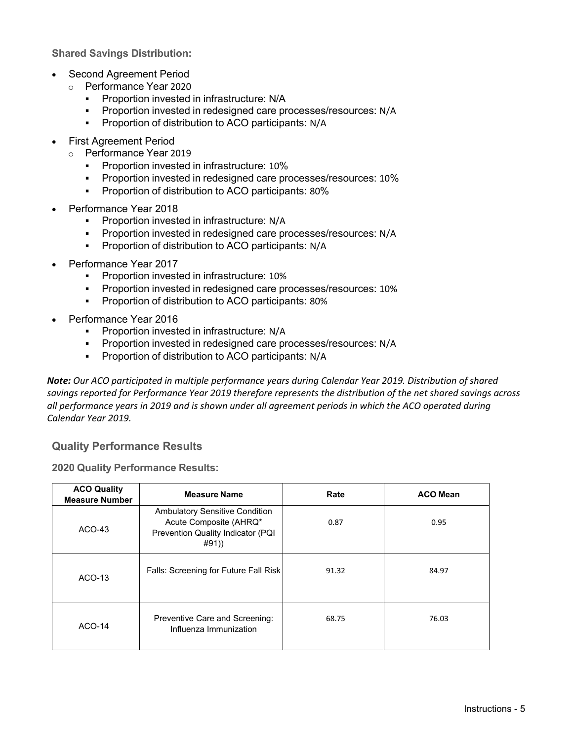**Shared Savings Distribution:**

- Second Agreement Period
	- o Performance Year 2020
		- **•** Proportion invested in infrastructure: N/A
		- **Proportion invested in redesigned care processes/resources: N/A**
		- **•** Proportion of distribution to ACO participants: N/A
- First Agreement Period
	- o Performance Year 2019
		- Proportion invested in infrastructure: 10%
		- **Proportion invested in redesigned care processes/resources: 10%**
		- **Proportion of distribution to ACO participants: 80%**
- Performance Year 2018
	- **Proportion invested in infrastructure: N/A**
	- **Proportion invested in redesigned care processes/resources: N/A**
	- **•** Proportion of distribution to ACO participants: N/A
- Performance Year 2017
	- **•** Proportion invested in infrastructure: 10%
	- **Proportion invested in redesigned care processes/resources: 10%**
	- **•** Proportion of distribution to ACO participants: 80%
- Performance Year 2016
	- **Proportion invested in infrastructure: N/A**
	- **Proportion invested in redesigned care processes/resources: N/A**
	- **Proportion of distribution to ACO participants: N/A**

*Note: Our ACO participated in multiple performance years during Calendar Year 2019. Distribution of shared savings reported for Performance Year 2019 therefore represents the distribution of the net shared savings across all performance years in 2019 and is shown under all agreement periods in which the ACO operated during Calendar Year 2019.*

#### **Quality Performance Results**

**2020 Quality Performance Results:**

| <b>ACO Quality</b><br><b>Measure Number</b> | <b>Measure Name</b>                                                                                           | Rate  | <b>ACO Mean</b> |
|---------------------------------------------|---------------------------------------------------------------------------------------------------------------|-------|-----------------|
| $ACO-43$                                    | <b>Ambulatory Sensitive Condition</b><br>Acute Composite (AHRQ*<br>Prevention Quality Indicator (PQI<br>#91)) | 0.87  | 0.95            |
| ACO-13                                      | Falls: Screening for Future Fall Risk                                                                         | 91.32 | 84.97           |
| ACO-14                                      | Preventive Care and Screening:<br>Influenza Immunization                                                      | 68.75 | 76.03           |